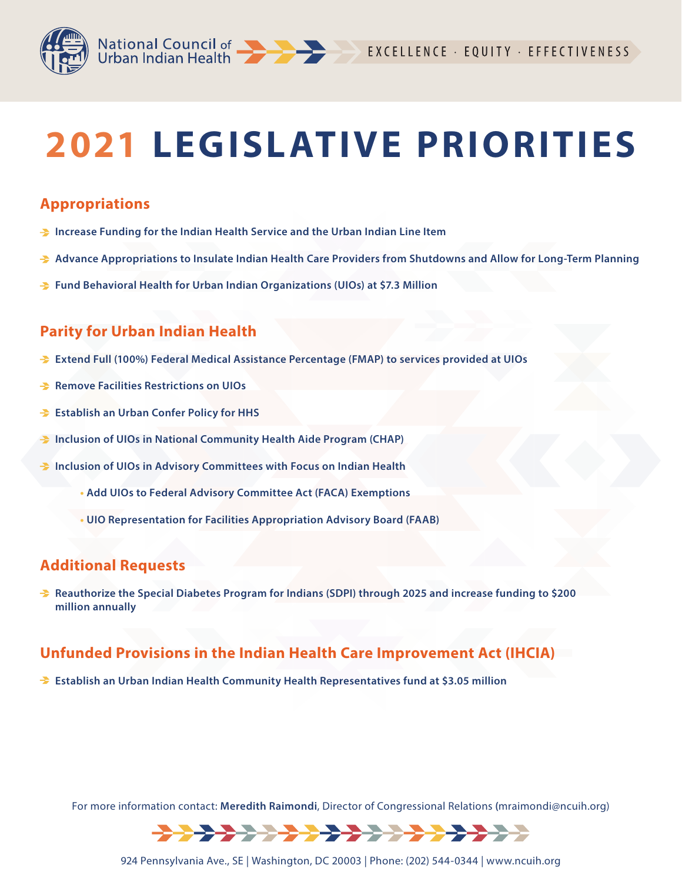

# **2021 LEGISLATIVE PRIORITIES**

## **Appropriations**

- **F** Increase Funding for the Indian Health Service and the Urban Indian Line Item
- **Advance Appropriations to Insulate Indian Health Care Providers from Shutdowns and Allow for Long-Term Planning**
- **Fund Behavioral Health for Urban Indian Organizations (UIOs) at \$7.3 Million**

## **Parity for Urban Indian Health**

- **Extend Full (100%) Federal Medical Assistance Percentage (FMAP) to services provided at UIOs**
- **Remove Facilities Restrictions on UIOs**
- **Establish an Urban Confer Policy for HHS**
- **F** Inclusion of UIOs in National Community Health Aide Program (CHAP)
- **Inclusion of UIOs in Advisory Committees with Focus on Indian Health**
	- **• Add UIOs to Federal Advisory Committee Act (FACA) Exemptions**
	- **• UIO Representation for Facilities Appropriation Advisory Board (FAAB)**

## **Additional Requests**

**Reauthorize the Special Diabetes Program for Indians (SDPI) through 2025 and increase funding to \$200 million annually**

## **Unfunded Provisions in the Indian Health Care Improvement Act (IHCIA)**

**Establish an Urban Indian Health Community Health Representatives fund at \$3.05 million** 

For more information contact: **Meredith Raimondi**, Director of Congressional Relations **(**mraimondi@ncuih.org)

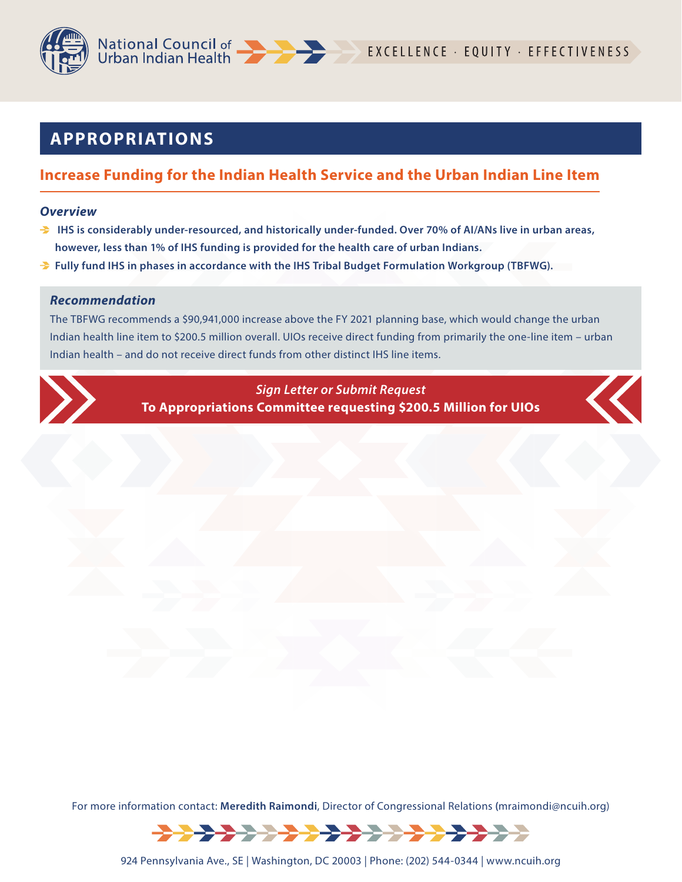

# **APPROPRIATIONS**

## **Increase Funding for the Indian Health Service and the Urban Indian Line Item**

## *Overview*

- **IHS is considerably under-resourced, and historically under-funded. Over 70% of AI/ANs live in urban areas, however, less than 1% of IHS funding is provided for the health care of urban Indians.**
- **Fully fund IHS in phases in accordance with the IHS Tribal Budget Formulation Workgroup (TBFWG).**

## *Recommendation*

The TBFWG recommends a \$90,941,000 increase above the FY 2021 planning base, which would change the urban Indian health line item to \$200.5 million overall. UIOs receive direct funding from primarily the one-line item – urban Indian health – and do not receive direct funds from other distinct IHS line items.

> *Sign Letter or Submit Request*  **To Appropriations Committee requesting \$200.5 Million for UIOs**



For more information contact: **Meredith Raimondi**, Director of Congressional Relations **(**mraimondi@ncuih.org)

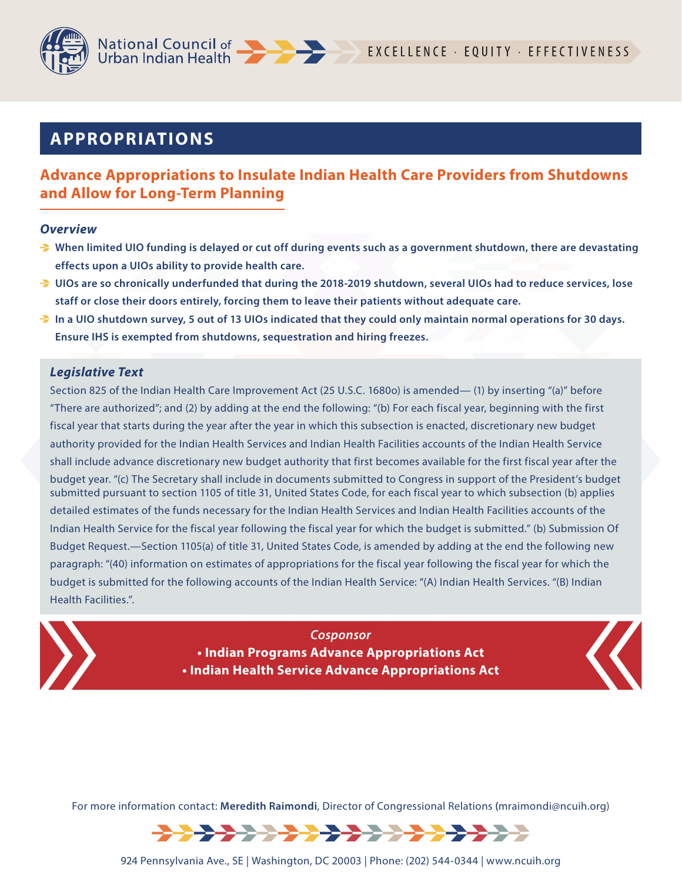

# **APPROPRIATIONS**

## **Advance Appropriations to Insulate Indian Health Care Providers from Shutdowns and Allow for Long-Term Planning**

## *Overview*

- **When limited UIO funding is delayed or cut off during events such as a government shutdown, there are devastating effects upon a UIOs ability to provide health care.**
- **UIOs are so chronically underfunded that during the 2018-2019 shutdown, several UIOs had to reduce services, lose staff or close their doors entirely, forcing them to leave their patients without adequate care.**
- **In a UIO shutdown survey, 5 out of 13 UIOs indicated that they could only maintain normal operations for 30 days. Ensure IHS is exempted from shutdowns, sequestration and hiring freezes.**

## *Legislative Text*

Section 825 of the Indian Health Care Improvement Act (25 U.S.C. 1680o) is amended— (1) by inserting "(a)" before "There are authorized"; and (2) by adding at the end the following: "(b) For each fiscal year, beginning with the first fiscal year that starts during the year after the year in which this subsection is enacted, discretionary new budget authority provided for the Indian Health Services and Indian Health Facilities accounts of the Indian Health Service shall include advance discretionary new budget authority that first becomes available for the first fiscal year after the budget year. "(c) The Secretary shall include in documents submitted to Congress in support of the President's budget submitted pursuant to section 1105 of title 31, United States Code, for each fiscal year to which subsection (b) applies detailed estimates of the funds necessary for the Indian Health Services and Indian Health Facilities accounts of the Indian Health Service for the fiscal year following the fiscal year for which the budget is submitted." (b) Submission Of Budget Request.—Section 1105(a) of title 31, United States Code, is amended by adding at the end the following new paragraph: "(40) information on estimates of appropriations for the fiscal year following the fiscal year for which the budget is submitted for the following accounts of the Indian Health Service: "(A) Indian Health Services. "(B) Indian Health Facilities.".

*Cosponsor*



**• Indian Programs Advance Appropriations Act • Indian Health Service Advance Appropriations Act**



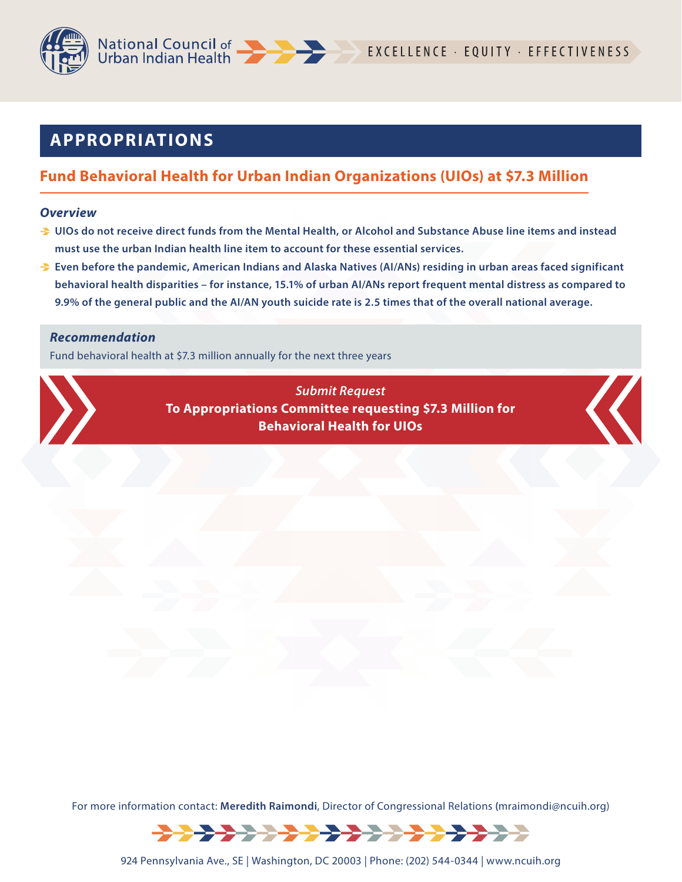

# **APPROPRIATIONS**

## **Fund Behavioral Health for Urban Indian Organizations (UIOs) at \$7.3 Million**

## *Overview*

- **UIOs do not receive direct funds from the Mental Health, or Alcohol and Substance Abuse line items and instead must use the urban Indian health line item to account for these essential services.**
- **Even before the pandemic, American Indians and Alaska Natives (AI/ANs) residing in urban areas faced significant behavioral health disparities – for instance, 15.1% of urban AI/ANs report frequent mental distress as compared to 9.9% of the general public and the AI/AN youth suicide rate is 2.5 times that of the overall national average.**

## *Recommendation*

Fund behavioral health at \$7.3 million annually for the next three years

*Submit Request* **To Appropriations Committee requesting \$7.3 Million for Behavioral Health for UIOs**

For more information contact: **Meredith Raimondi**, Director of Congressional Relations **(**mraimondi@ncuih.org)

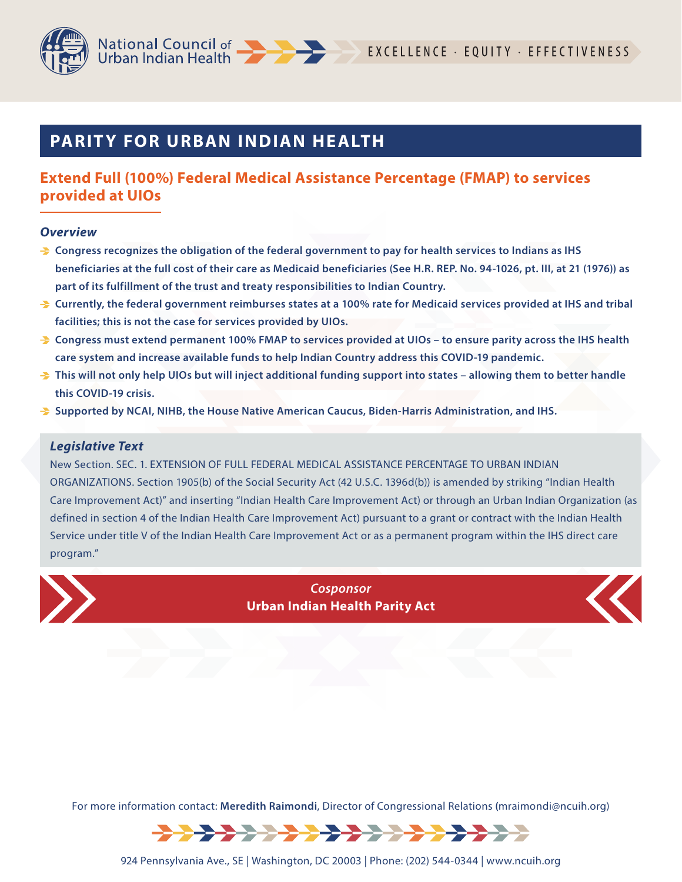

## **Extend Full (100%) Federal Medical Assistance Percentage (FMAP) to services provided at UIOs**

## *Overview*

- **Congress recognizes the obligation of the federal government to pay for health services to Indians as IHS beneficiaries at the full cost of their care as Medicaid beneficiaries (See H.R. REP. No. 94-1026, pt. III, at 21 (1976)) as part of its fulfillment of the trust and treaty responsibilities to Indian Country.**
- **Currently, the federal government reimburses states at a 100% rate for Medicaid services provided at IHS and tribal facilities; this is not the case for services provided by UIOs.**
- **Congress must extend permanent 100% FMAP to services provided at UIOs to ensure parity across the IHS health care system and increase available funds to help Indian Country address this COVID-19 pandemic.**
- **This will not only help UIOs but will inject additional funding support into states allowing them to better handle this COVID-19 crisis.**
- **→** Supported by NCAI, NIHB, the House Native American Caucus, Biden-Harris Administration, and IHS.

## *Legislative Text*

New Section. SEC. 1. EXTENSION OF FULL FEDERAL MEDICAL ASSISTANCE PERCENTAGE TO URBAN INDIAN ORGANIZATIONS. Section 1905(b) of the Social Security Act (42 U.S.C. 1396d(b)) is amended by striking "Indian Health Care Improvement Act)" and inserting "Indian Health Care Improvement Act) or through an Urban Indian Organization (as defined in section 4 of the Indian Health Care Improvement Act) pursuant to a grant or contract with the Indian Health Service under title V of the Indian Health Care Improvement Act or as a permanent program within the IHS direct care program."



*Cosponsor* **Urban Indian Health Parity Act**



For more information contact: **Meredith Raimondi**, Director of Congressional Relations **(**mraimondi@ncuih.org)

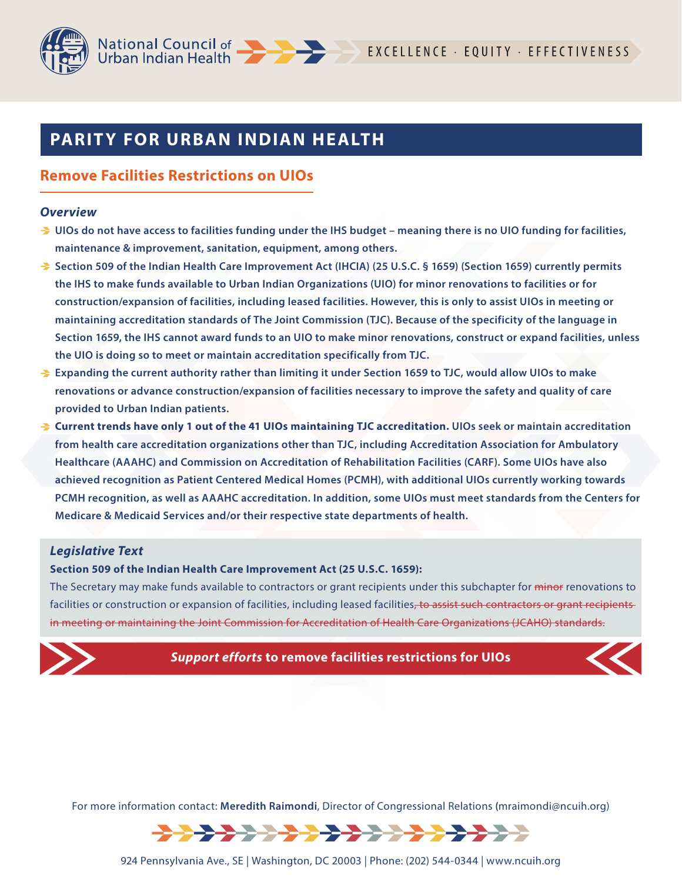

## **Remove Facilities Restrictions on UIOs**

#### *Overview*

- **UIOs do not have access to facilities funding under the IHS budget meaning there is no UIO funding for facilities, maintenance & improvement, sanitation, equipment, among others.**
- **Section 509 of the Indian Health Care Improvement Act (IHCIA) (25 U.S.C. § 1659) (Section 1659) currently permits the IHS to make funds available to Urban Indian Organizations (UIO) for minor renovations to facilities or for construction/expansion of facilities, including leased facilities. However, this is only to assist UIOs in meeting or maintaining accreditation standards of The Joint Commission (TJC). Because of the specificity of the language in Section 1659, the IHS cannot award funds to an UIO to make minor renovations, construct or expand facilities, unless the UIO is doing so to meet or maintain accreditation specifically from TJC.**
- **Expanding the current authority rather than limiting it under Section 1659 to TJC, would allow UIOs to make renovations or advance construction/expansion of facilities necessary to improve the safety and quality of care provided to Urban Indian patients.**
- **Current trends have only 1 out of the 41 UIOs maintaining TJC accreditation. UIOs seek or maintain accreditation from health care accreditation organizations other than TJC, including Accreditation Association for Ambulatory Healthcare (AAAHC) and Commission on Accreditation of Rehabilitation Facilities (CARF). Some UIOs have also achieved recognition as Patient Centered Medical Homes (PCMH), with additional UIOs currently working towards PCMH recognition, as well as AAAHC accreditation. In addition, some UIOs must meet standards from the Centers for Medicare & Medicaid Services and/or their respective state departments of health.**

#### *Legislative Text*

#### **Section 509 of the Indian Health Care Improvement Act (25 U.S.C. 1659):**

The Secretary may make funds available to contractors or grant recipients under this subchapter for minor renovations to facilities or construction or expansion of facilities, including leased facilities<del>, to assist such contractors or grant recipients</del> in meeting or maintaining the Joint Commission for Accreditation of Health Care Organizations (JCAHO) standards.



*Support efforts* **to remove facilities restrictions for UIOs**



For more information contact: **Meredith Raimondi**, Director of Congressional Relations **(**mraimondi@ncuih.org)

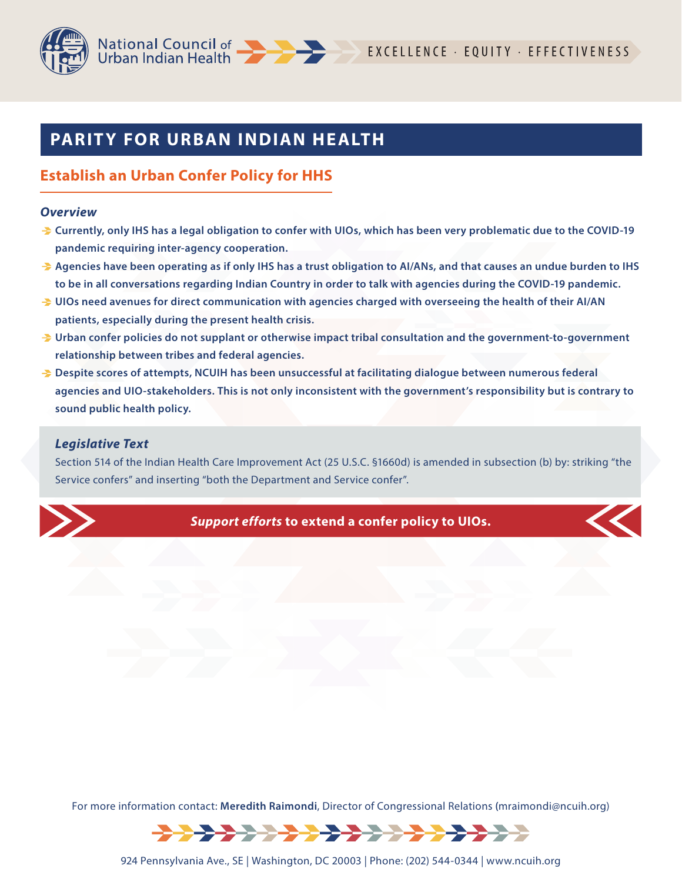

## **Establish an Urban Confer Policy for HHS**

#### *Overview*

- **Currently, only IHS has a legal obligation to confer with UIOs, which has been very problematic due to the COVID-19 pandemic requiring inter-agency cooperation.**
- **Agencies have been operating as if only IHS has a trust obligation to AI/ANs, and that causes an undue burden to IHS to be in all conversations regarding Indian Country in order to talk with agencies during the COVID-19 pandemic.**
- **UIOs need avenues for direct communication with agencies charged with overseeing the health of their AI/AN patients, especially during the present health crisis.**
- **Urban confer policies do not supplant or otherwise impact tribal consultation and the government-to-government relationship between tribes and federal agencies.**
- **Despite scores of attempts, NCUIH has been unsuccessful at facilitating dialogue between numerous federal agencies and UIO-stakeholders. This is not only inconsistent with the government's responsibility but is contrary to sound public health policy.**

## *Legislative Text*

Section 514 of the Indian Health Care Improvement Act (25 U.S.C. §1660d) is amended in subsection (b) by: striking "the Service confers" and inserting "both the Department and Service confer".

*Support efforts* **to extend a confer policy to UIOs.**

For more information contact: **Meredith Raimondi**, Director of Congressional Relations **(**mraimondi@ncuih.org)

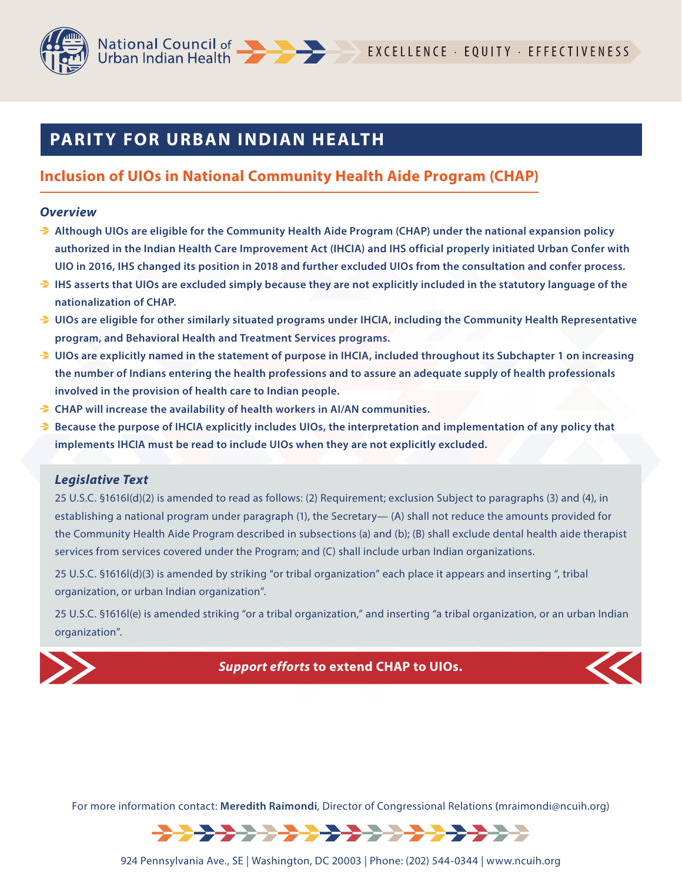

## **Inclusion of UIOs in National Community Health Aide Program (CHAP)**

#### *Overview*

- **Although UIOs are eligible for the Community Health Aide Program (CHAP) under the national expansion policy authorized in the Indian Health Care Improvement Act (IHCIA) and IHS official properly initiated Urban Confer with UIO in 2016, IHS changed its position in 2018 and further excluded UIOs from the consultation and confer process.**
- **IHS asserts that UIOs are excluded simply because they are not explicitly included in the statutory language of the nationalization of CHAP.**
- **UIOs are eligible for other similarly situated programs under IHCIA, including the Community Health Representative program, and Behavioral Health and Treatment Services programs.**
- **UIOs are explicitly named in the statement of purpose in IHCIA, included throughout its Subchapter 1 on increasing the number of Indians entering the health professions and to assure an adequate supply of health professionals involved in the provision of health care to Indian people.**
- **CHAP will increase the availability of health workers in AI/AN communities.**
- **Because the purpose of IHCIA explicitly includes UIOs, the interpretation and implementation of any policy that implements IHCIA must be read to include UIOs when they are not explicitly excluded.**

## *Legislative Text*

25 U.S.C. §1616l(d)(2) is amended to read as follows: (2) Requirement; exclusion Subject to paragraphs (3) and (4), in establishing a national program under paragraph (1), the Secretary— (A) shall not reduce the amounts provided for the Community Health Aide Program described in subsections (a) and (b); (B) shall exclude dental health aide therapist services from services covered under the Program; and (C) shall include urban Indian organizations.

25 U.S.C. §1616l(d)(3) is amended by striking "or tribal organization" each place it appears and inserting ", tribal organization, or urban Indian organization".

25 U.S.C. §1616l(e) is amended striking "or a tribal organization," and inserting "a tribal organization, or an urban Indian organization".



*Support efforts* **to extend CHAP to UIOs.**

For more information contact: **Meredith Raimondi**, Director of Congressional Relations **(**mraimondi@ncuih.org)

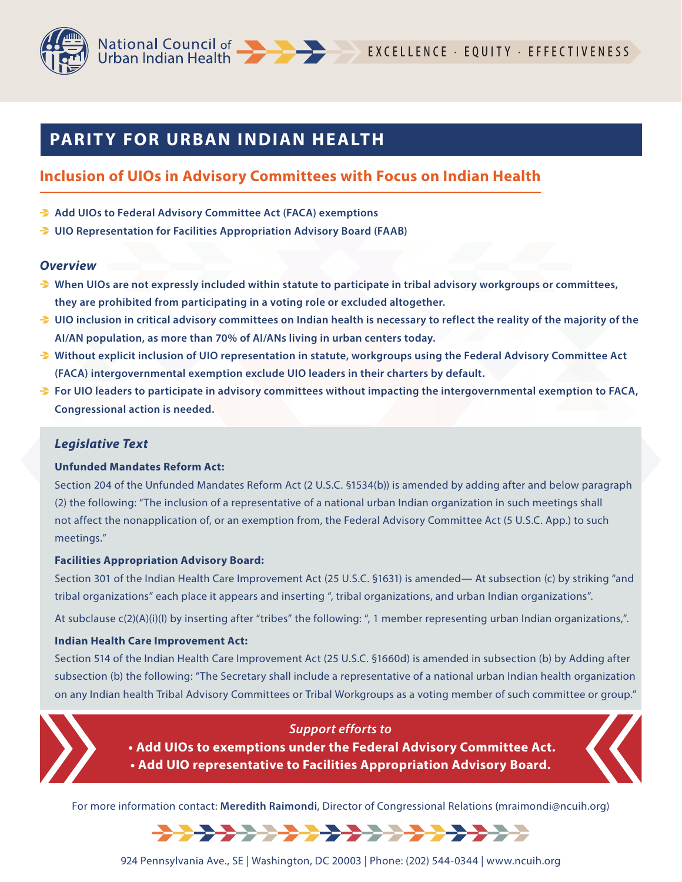

## **Inclusion of UIOs in Advisory Committees with Focus on Indian Health**

- **Add UIOs to Federal Advisory Committee Act (FACA) exemptions**
- **UIO Representation for Facilities Appropriation Advisory Board (FAAB)**

#### *Overview*

- **When UIOs are not expressly included within statute to participate in tribal advisory workgroups or committees, they are prohibited from participating in a voting role or excluded altogether.**
- **UIO inclusion in critical advisory committees on Indian health is necessary to reflect the reality of the majority of the AI/AN population, as more than 70% of AI/ANs living in urban centers today.**
- **Without explicit inclusion of UIO representation in statute, workgroups using the Federal Advisory Committee Act (FACA) intergovernmental exemption exclude UIO leaders in their charters by default.**
- **For UIO leaders to participate in advisory committees without impacting the intergovernmental exemption to FACA, Congressional action is needed.**

## *Legislative Text*

#### **Unfunded Mandates Reform Act:**

Section 204 of the Unfunded Mandates Reform Act (2 U.S.C. §1534(b)) is amended by adding after and below paragraph (2) the following: "The inclusion of a representative of a national urban Indian organization in such meetings shall not affect the nonapplication of, or an exemption from, the Federal Advisory Committee Act (5 U.S.C. App.) to such meetings."

#### **Facilities Appropriation Advisory Board:**

Section 301 of the Indian Health Care Improvement Act (25 U.S.C. §1631) is amended— At subsection (c) by striking "and tribal organizations" each place it appears and inserting ", tribal organizations, and urban Indian organizations".

At subclause c(2)(A)(i)(I) by inserting after "tribes" the following: ", 1 member representing urban Indian organizations,".

#### **Indian Health Care Improvement Act:**

Section 514 of the Indian Health Care Improvement Act (25 U.S.C. §1660d) is amended in subsection (b) by Adding after subsection (b) the following: "The Secretary shall include a representative of a national urban Indian health organization on any Indian health Tribal Advisory Committees or Tribal Workgroups as a voting member of such committee or group."



## *Support efforts to*

- **Add UIOs to exemptions under the Federal Advisory Committee Act.**
- **Add UIO representative to Facilities Appropriation Advisory Board.**

For more information contact: **Meredith Raimondi**, Director of Congressional Relations **(**mraimondi@ncuih.org)

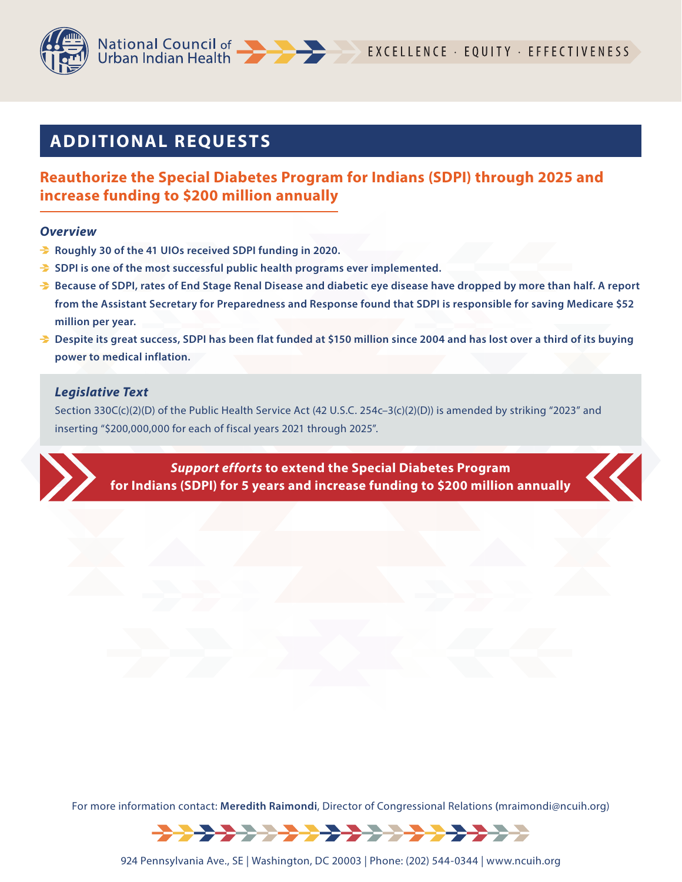

# **ADDITIONAL REQUESTS**

## **Reauthorize the Special Diabetes Program for Indians (SDPI) through 2025 and increase funding to \$200 million annually**

## *Overview*

- **Roughly 30 of the 41 UIOs received SDPI funding in 2020.**
- **SDPI is one of the most successful public health programs ever implemented.**
- **Because of SDPI, rates of End Stage Renal Disease and diabetic eye disease have dropped by more than half. A report from the Assistant Secretary for Preparedness and Response found that SDPI is responsible for saving Medicare \$52 million per year.**
- **Despite its great success, SDPI has been flat funded at \$150 million since 2004 and has lost over a third of its buying power to medical inflation.**

## *Legislative Text*

Section 330C(c)(2)(D) of the Public Health Service Act (42 U.S.C. 254c–3(c)(2)(D)) is amended by striking "2023" and inserting "\$200,000,000 for each of fiscal years 2021 through 2025".

> *Support efforts* **to extend the Special Diabetes Program for Indians (SDPI) for 5 years and increase funding to \$200 million annually**

For more information contact: **Meredith Raimondi**, Director of Congressional Relations **(**mraimondi@ncuih.org)